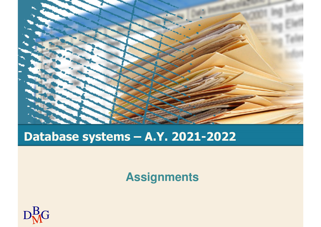

# **Database systems – A.Y. 2021-2022**

**Assignments** 

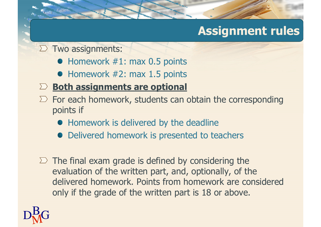# **Assignment rules**

 $\Sigma$  Two assignments:

- Homework #1: max 0.5 points
- Homework #2: max 1.5 points
- **Both assignments are optional**
- $\Sigma$  For each homework, students can obtain the corresponding points if
	- **Homework is delivered by the deadline**
	- Delivered homework is presented to teachers
- $\Sigma$  The final exam grade is defined by considering the evaluation of the written part, and, optionally, of the delivered homework. Points from homework are considered only if the grade of the written part is 18 or above.

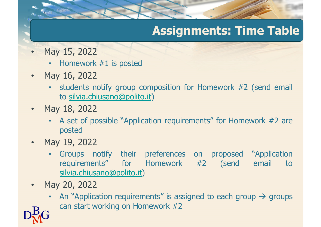# **Assignments: Time Table**

- • May 15, <sup>2022</sup>
	- •Homework #1 is posted
- • May 16, <sup>2022</sup>
	- • students notify group composition for Homework #2 (send email to <u>silvia.chiusano@polito.it</u>)
- $\bullet$  May 18, <sup>2022</sup>
	- A set of possible "Application requirements" for Homework #2 are<br>nosted posted
- • May 19, <sup>2022</sup>
	- •Groups notify their preferences on proposed "Application<br>requirements" for Homework #2 (send email to requirements" for Homework #2 (send email silvia.chiusano@polito.it)
- •May 20, <sup>2022</sup>
- $\mathrm{D}^\mathrm{B}_\mathrm{M}$ G •An "Application requirements" is assigned to each group  $\rightarrow$  groups can start working on Homework #2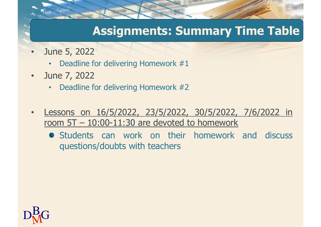## **Assignments: Summary Time Table**

- • June 5, <sup>2022</sup>
	- •Deadline for delivering Homework #1
- • June 7, <sup>2022</sup>
	- •Deadline for delivering Homework #2
- • Lessons on 16/5/2022, 23/5/2022, 30/5/2022, 7/6/2022 in room 5T – 10:00-11:30 are devoted to homework
	- **•** Students can work on their homework and discuss questions/doubts with teachers

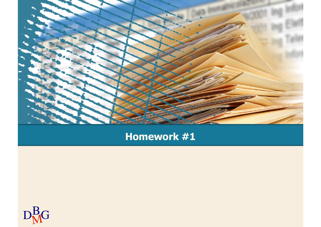

### **Homework #1**

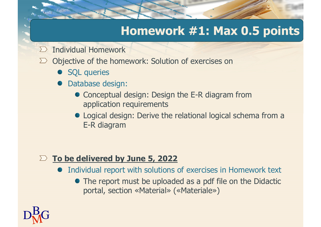## **Homework #1: Max 0.5 points**

- Individual Homework $\sum$
- $\Sigma$  Objective of the homework: Solution of exercises on
	- SQL queries
	- Database design:
		- Conceptual design: Design the E-R diagram from application requirements
		- Logical design: Derive the relational logical schema from a E-R diagram

#### **To be delivered by June 5, 2022**

- Individual report with solutions of exercises in Homework text
	- The report must be uploaded as a pdf file on the Didactic portal, section «Material» («Materiale»)

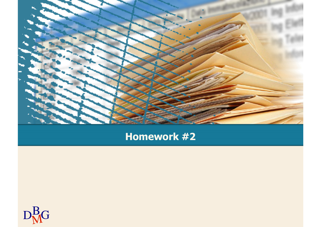

### **Homework #2**

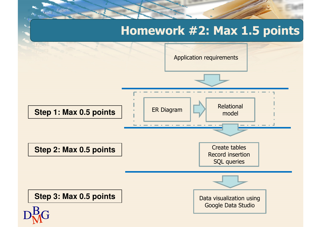## **Homework #2: Max 1.5 points**